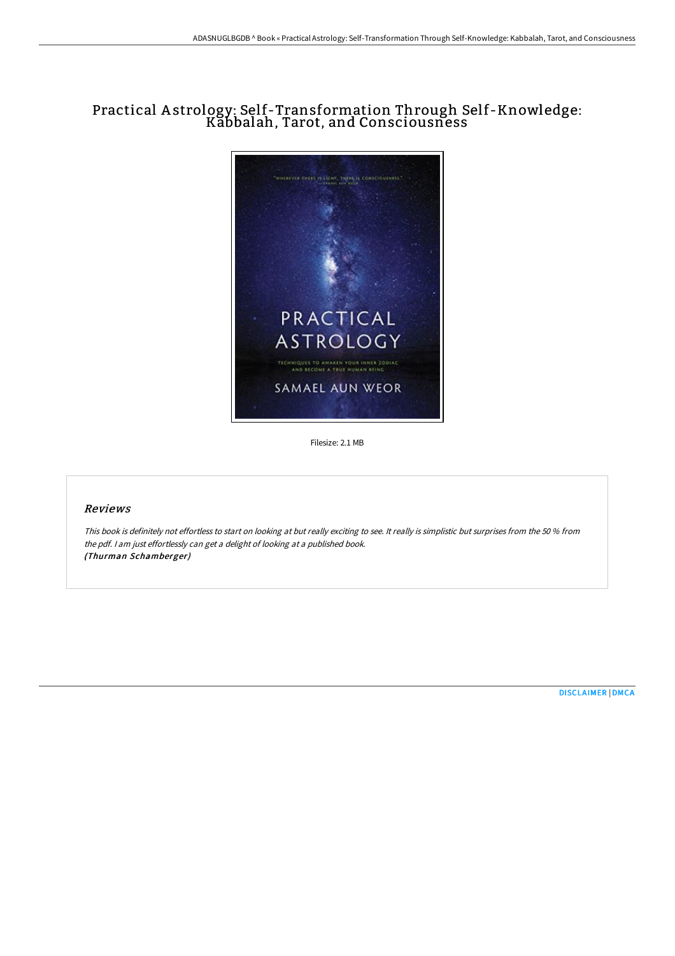# Practical A strology: Self-Transformation Through Self-Knowledge: Kabbalah, Tarot, and Consciousness



Filesize: 2.1 MB

### Reviews

This book is definitely not effortless to start on looking at but really exciting to see. It really is simplistic but surprises from the <sup>50</sup> % from the pdf. <sup>I</sup> am just effortlessly can get <sup>a</sup> delight of looking at <sup>a</sup> published book. (Thurman Schamberger)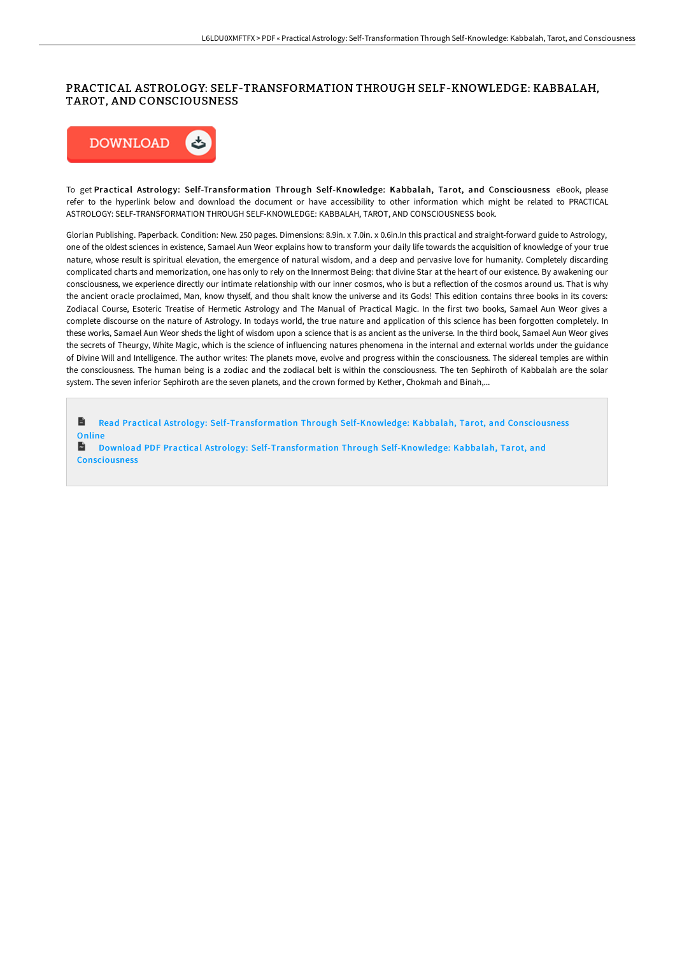#### PRACTICAL ASTROLOGY: SELF-TRANSFORMATION THROUGH SELF-KNOWLEDGE: KABBALAH, TAROT, AND CONSCIOUSNESS



To get Practical Astrology: Self-Transformation Through Self-Knowledge: Kabbalah, Tarot, and Consciousness eBook, please refer to the hyperlink below and download the document or have accessibility to other information which might be related to PRACTICAL ASTROLOGY: SELF-TRANSFORMATION THROUGH SELF-KNOWLEDGE: KABBALAH, TAROT, AND CONSCIOUSNESS book.

Glorian Publishing. Paperback. Condition: New. 250 pages. Dimensions: 8.9in. x 7.0in. x 0.6in.In this practical and straight-forward guide to Astrology, one of the oldest sciences in existence, Samael Aun Weor explains how to transform your daily life towards the acquisition of knowledge of your true nature, whose result is spiritual elevation, the emergence of natural wisdom, and a deep and pervasive love for humanity. Completely discarding complicated charts and memorization, one has only to rely on the Innermost Being: that divine Star at the heart of our existence. By awakening our consciousness, we experience directly our intimate relationship with our inner cosmos, who is but a reflection of the cosmos around us. That is why the ancient oracle proclaimed, Man, know thyself, and thou shalt know the universe and its Gods! This edition contains three books in its covers: Zodiacal Course, Esoteric Treatise of Hermetic Astrology and The Manual of Practical Magic. In the first two books, Samael Aun Weor gives a complete discourse on the nature of Astrology. In todays world, the true nature and application of this science has been forgotten completely. In these works, Samael Aun Weor sheds the light of wisdom upon a science that is as ancient as the universe. In the third book, Samael Aun Weor gives the secrets of Theurgy, White Magic, which is the science of influencing natures phenomena in the internal and external worlds under the guidance of Divine Will and Intelligence. The author writes: The planets move, evolve and progress within the consciousness. The sidereal temples are within the consciousness. The human being is a zodiac and the zodiacal belt is within the consciousness. The ten Sephiroth of Kabbalah are the solar system. The seven inferior Sephiroth are the seven planets, and the crown formed by Kether, Chokmah and Binah,...

h Read Practical Astrology: [Self-Transformation](http://albedo.media/practical-astrology-self-transformation-through-.html) Through Self-Knowledge: Kabbalah, Tarot, and Consciousness **Online** 

**Download PDF Practical Astrology: [Self-Transformation](http://albedo.media/practical-astrology-self-transformation-through-.html) Through Self-Knowledge: Kabbalah, Tarot, and** Consciousness